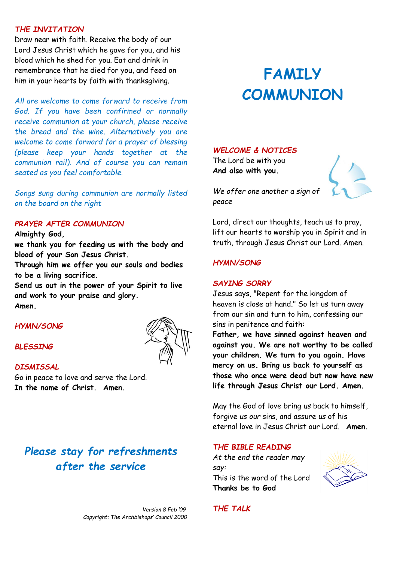#### *THE INVITATION*

Draw near with faith. Receive the body of our Lord Jesus Christ which he gave for you, and his blood which he shed for you. Eat and drink in remembrance that he died for you, and feed on him in your hearts by faith with thanksgiving.

*All are welcome to come forward to receive from God. If you have been confirmed or normally receive communion at your church, please receive the bread and the wine. Alternatively you are welcome to come forward for a prayer of blessing (please keep your hands together at the communion rail). And of course you can remain seated as you feel comfortable.*

*Songs sung during communion are normally listed on the board on the right* 

#### *PRAYER AFTER COMMUNION*

**Almighty God,**

**we thank you for feeding us with the body and blood of your Son Jesus Christ.** 

**Through him we offer you our souls and bodies to be a living sacrifice.** 

**Send us out in the power of your Spirit to live and work to your praise and glory. Amen.**

# *HYMN/SONG*

## *BLESSING*

### *DISMISSAL*

Go in peace to love and serve the Lord. **In the name of Christ. Amen.**

# *Please stay for refreshments after the service*

 *Version 8 Feb '09 Copyright: The Archbishops' Council 2000* 

# **FAMILY COMMUNION**

#### *WELCOME & NOTICES*

The Lord be with you **And also with you.**



*We offer one another a sign of peace*

Lord, direct our thoughts, teach us to pray, lift our hearts to worship you in Spirit and in truth, through Jesus Christ our Lord. Amen.

#### *HYMN/SONG*

#### *SAYING SORRY*

Jesus says, "Repent for the kingdom of heaven is close at hand." So let us turn away from our sin and turn to him, confessing our sins in penitence and faith:

**Father, we have sinned against heaven and against you. We are not worthy to be called your children. We turn to you again. Have mercy on us. Bring us back to yourself as those who once were dead but now have new life through Jesus Christ our Lord. Amen.**

May the God of love bring *us* back to himself, forgive *us our* sins, and assure *us* of his eternal love in Jesus Christ our Lord. **Amen.**

#### *THE BIBLE READING*

*At the end the reader may say:* This is the word of the Lord **Thanks be to God**



*THE TALK*